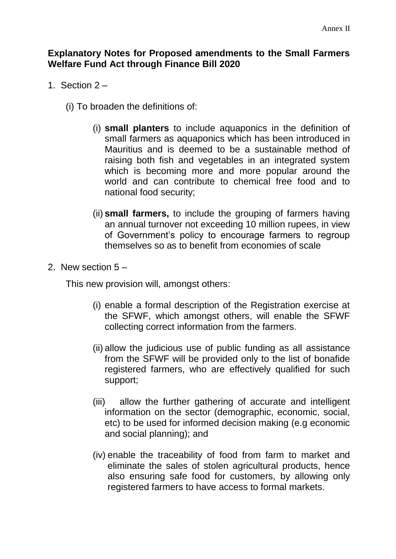## **Explanatory Notes for Proposed amendments to the Small Farmers Welfare Fund Act through Finance Bill 2020**

- 1. Section 2
	- (i) To broaden the definitions of:
		- (i) **small planters** to include aquaponics in the definition of small farmers as aquaponics which has been introduced in Mauritius and is deemed to be a sustainable method of raising both fish and vegetables in an integrated system which is becoming more and more popular around the world and can contribute to chemical free food and to national food security;
		- (ii) **small farmers,** to include the grouping of farmers having an annual turnover not exceeding 10 million rupees, in view of Government's policy to encourage farmers to regroup themselves so as to benefit from economies of scale
- 2. New section 5 –

This new provision will, amongst others:

- (i) enable a formal description of the Registration exercise at the SFWF, which amongst others, will enable the SFWF collecting correct information from the farmers.
- (ii) allow the judicious use of public funding as all assistance from the SFWF will be provided only to the list of bonafide registered farmers, who are effectively qualified for such support;
- (iii) allow the further gathering of accurate and intelligent information on the sector (demographic, economic, social, etc) to be used for informed decision making (e.g economic and social planning); and
- (iv) enable the traceability of food from farm to market and eliminate the sales of stolen agricultural products, hence also ensuring safe food for customers, by allowing only registered farmers to have access to formal markets.